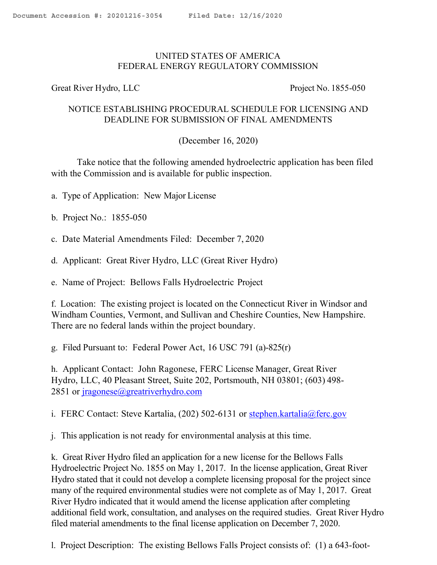## UNITED STATES OF AMERICA FEDERAL ENERGY REGULATORY COMMISSION

Great River Hydro, LLC Project No. 1855-050

## NOTICE ESTABLISHING PROCEDURAL SCHEDULE FOR LICENSING AND DEADLINE FOR SUBMISSION OF FINAL AMENDMENTS

(December 16, 2020)

Take notice that the following amended hydroelectric application has been filed with the Commission and is available for public inspection.

- a. Type of Application: New Major License
- b. Project No.: 1855-050
- c. Date Material Amendments Filed: December 7, 2020
- d. Applicant: Great River Hydro, LLC (Great River Hydro)

e. Name of Project: Bellows Falls Hydroelectric Project

f. Location: The existing project is located on the Connecticut River in Windsor and Windham Counties, Vermont, and Sullivan and Cheshire Counties, New Hampshire. There are no federal lands within the project boundary.

g. Filed Pursuant to: Federal Power Act, 16 USC 791 (a)-825(r)

h. Applicant Contact: John Ragonese, FERC License Manager, Great River Hydro, LLC, 40 Pleasant Street, Suite 202, Portsmouth, NH 03801; (603) 498- 2851 or jragonese@greatriverhydro.com

i. FERC Contact: Steve Kartalia, (202) 502-6131 or stephen.kartalia@ferc.gov

j. This application is not ready for environmental analysis at this time.

k. Great River Hydro filed an application for a new license for the Bellows Falls Hydroelectric Project No. 1855 on May 1, 2017. In the license application, Great River Hydro stated that it could not develop a complete licensing proposal for the project since many of the required environmental studies were not complete as of May 1, 2017. Great River Hydro indicated that it would amend the license application after completing additional field work, consultation, and analyses on the required studies. Great River Hydro filed material amendments to the final license application on December 7, 2020.

l. Project Description: The existing Bellows Falls Project consists of: (1) a 643-foot-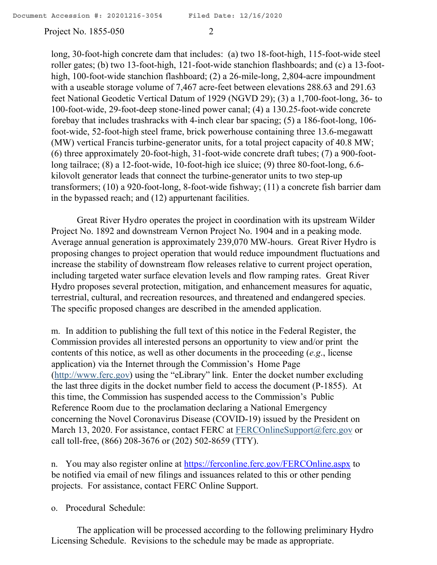Project No. 1855-050 2

long, 30-foot-high concrete dam that includes: (a) two 18-foot-high, 115-foot-wide steel roller gates; (b) two 13-foot-high, 121-foot-wide stanchion flashboards; and (c) a 13-foothigh, 100-foot-wide stanchion flashboard; (2) a 26-mile-long, 2,804-acre impoundment with a useable storage volume of 7,467 acre-feet between elevations 288.63 and 291.63 feet National Geodetic Vertical Datum of 1929 (NGVD 29); (3) a 1,700-foot-long, 36- to 100-foot-wide, 29-foot-deep stone-lined power canal; (4) a 130.25-foot-wide concrete forebay that includes trashracks with 4-inch clear bar spacing; (5) a 186-foot-long, 106 foot-wide, 52-foot-high steel frame, brick powerhouse containing three 13.6-megawatt (MW) vertical Francis turbine-generator units, for a total project capacity of 40.8 MW; (6) three approximately 20-foot-high, 31-foot-wide concrete draft tubes; (7) a 900-footlong tailrace; (8) a 12-foot-wide, 10-foot-high ice sluice; (9) three 80-foot-long, 6.6 kilovolt generator leads that connect the turbine-generator units to two step-up transformers; (10) a 920-foot-long, 8-foot-wide fishway; (11) a concrete fish barrier dam in the bypassed reach; and (12) appurtenant facilities.

Great River Hydro operates the project in coordination with its upstream Wilder Project No. 1892 and downstream Vernon Project No. 1904 and in a peaking mode. Average annual generation is approximately 239,070 MW-hours. Great River Hydro is proposing changes to project operation that would reduce impoundment fluctuations and increase the stability of downstream flow releases relative to current project operation, including targeted water surface elevation levels and flow ramping rates. Great River Hydro proposes several protection, mitigation, and enhancement measures for aquatic, terrestrial, cultural, and recreation resources, and threatened and endangered species. The specific proposed changes are described in the amended application.

m. In addition to publishing the full text of this notice in the Federal Register, the Commission provides all interested persons an opportunity to view and/or print the contents of this notice, as well as other documents in the proceeding (*e.g*., license application) via the Internet through the Commission's Home Page (http://www.ferc.gov) using the "eLibrary" link. Enter the docket number excluding the last three digits in the docket number field to access the document (P-1855). At this time, the Commission has suspended access to the Commission's Public Reference Room due to the proclamation declaring a National Emergency concerning the Novel Coronavirus Disease (COVID-19) issued by the President on March 13, 2020. For assistance, contact FERC at FERCOnlineSupport@ferc.gov or call toll-free, (866) 208-3676 or (202) 502-8659 (TTY).

n. You may also register online at https://ferconline.ferc.gov/FERCOnline.aspx to be notified via email of new filings and issuances related to this or other pending projects. For assistance, contact FERC Online Support.

o. Procedural Schedule:

The application will be processed according to the following preliminary Hydro Licensing Schedule. Revisions to the schedule may be made as appropriate.